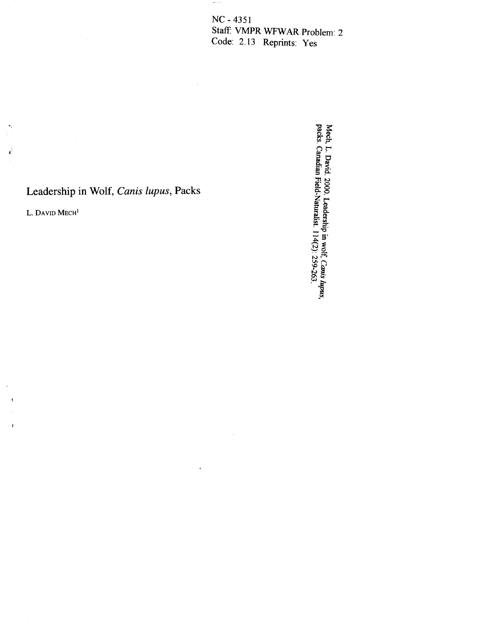NC - 4**3**51 Sta\_ VMPR WFW*A*R Pr**o**blem: 2 C**o**de: 2.1**3** Reprints: Yes

 $\mu\mu$  and  $\mu$ 

# Leadership in Wolf, *Canis lupus*, Packs L. DAVID MECH<sup>1</sup>

 $\overline{\mathbf{A}}$ 

 $\mathfrak{t}$ 

*•*. \_  $\epsilon$ Mech, L. David. 2000. Leadership in wolf, Canis hupus,<br>packs. Canadian Field-Naturalist. 114(2): 259-263.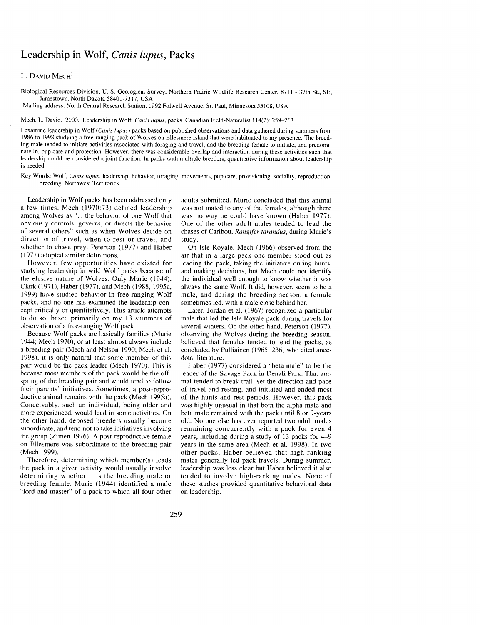## Leadership in Wolf, *Canis lupus*, Packs

### L. DAVID MECH<sup>1</sup>

Biological Resources Division, U. S. Geological Survey, Northern Prairie Wildlife Research Center, 8711 - 37th St., SE, Jamestown, North Dakota 58401-7317, USA

<sup>1</sup>Mailing address: North Central Research Station, 1992 Folwell Avenue, St. Paul, Minnesota 55108, USA

Mech, L. David. 2000. Leadership in Wolf, *Cani*s*lupus*, packs. Canadian Field-Naturalist 114(2):259-263.

I examine leadership in Wolf (*Cani*s *lup*u*s*) packs based on published observations and data gathered during summers from 1986to 1998 studying a free-ranging pack of Wolves on Ellesmere Island that were habituated to my presence. The breeding male tended to initiate activities associated with foraging and travel, and the breeding female to initiate, and predominate in, pup care and protection. However, there was considerable overlap and interaction during these activities such that leadership could be considered a joint function. In packs with multiple breeders, quantitative information about leadership is needed.

Key Words: Wolf, *Canislupu*s, leadership, behavior, foraging, movements, pup care, provisioning, sociality, reproduction, breeding, Northwest Territories.

a few times. Mech (1970:73) defined leadership was not mated to any of the females, although there among Wolves as "... the behavior of one Wolf that was no way he could have known (Haber 1977). among Wolves as "... the behavior of one Wolf that was no way he could have known (Haber 1977).<br>obviously controls, governs, or directs the behavior One of the other adult males tended to lead the obviously controls, governs, or directs the behavior One of the other adult males tended to lead the of several others" such as when Wolves decide on chases of Caribou, Rangifer tarandus, during Murie's of several others" such as when Wolves decide on chases direction of travel, when to rest or travel, and study, direction of travel, when to rest or travel, and study.<br>whether to chase prey. Peterson (1977) and Haber On Isle Royale, Mech (1966) observed from the whether to chase prey. Peterson  $(1977)$  and Haber  $(1977)$  adopted similar definitions.

studying leadership in wild Wolf packs because of and making decisions, but Mech could not identify the elusive nature of Wolves. Only Murie (1944), the individual well enough to know whether it was the elusive nature of Wolves. Only Murie (1944), Clark (1971), Haber (1977), and Mech (1988, 1995a, 1999) have studied behavior in free-ranging Wolf male, and during the breeding season, a packs, and no one has examined the leaderhip con-<br>packs, and no one has examined the leaderhip con-<br>sometimes led, with a male close packs, and no one has examined the leaderhip con-<br>
cept critically or quantitatively. This article attempts Later, Jordan et al. (1967) recognized a particular cept critically or quantitatively. This article attempts to do so, based primarily on my 13 summers of

a breeding pair (Mech and Nelson 1990; Mech et al. concluded by P<br>1998), it is only natural that some member of this dotal literature. 1998), it is only natural that some member of this dotal literature.<br>
pair would be the pack leader (Mech 1970). This is Haber (1977) considered a "beta male" to be the pair would be the pack leader (Mech 1970). This is because most members of the pack would be the offspring of the breeding pair and would tend to follow mal tended to break trail, set the direction and pace their parents' initiatives. Sometimes, a post-repro-<br>of travel and resting, and initiated and ended most their parents' initiatives. Sometimes, a post-repro-<br>ductive animal remains with the pack (Mech 1995a). Conceivably, such an individual, being older and was highly unusual in that both the alpha male and more experienced, would lead in some activities. On beta male remained with the pack until 8 or 9-years more experienced, would lead in some activities. On the other hand, deposed breeders usually become the other hand, deposed breeders usually become old. No one else has ever reported two adult males<br>subordinate, and tend not to take initiatives involving remaining concurrently with a pack for even 4 the group (Zimen 1976). A post-reproductive female on Ellesmere was subordinate to the breeding pair on Ellesmere was subordinate to the breeding pair years in the same area (Mech et al. 1998). In two<br>other packs. Haber believed that high-ranking

determining whether it is the breeding male or tended to involve high-ranking males. None of breeding female. Murie (1944) identified a male these studies provided quantitative behavioral data breeding female. Murie (1944) identified a male these studies provided and master" of a pack to which all four other on leadership. "lord and master" of a pack to which all four other

Leadership in Wolf packs has been addressed only adults submitted. Murie concluded that this animal<br>few times. Mech (1970:73) defined leadership was not mated to any of the females, although there

(1977) adopted similar definitions, air that in a large pack one member stood out as However, few opportunities have existed for leading the pack, taking the initiative during hunts, leading the pack, taking the initiative during hunts, and making decisions, but Mech could not identify always the same Wolf. It did, however, seem to be a male, and during the breeding season, a female

to do so, based primarily on my 13 summers of male that led the Isle Royale pack during travels for several winters. On the other hand, Peterson (1977), observation of a free-ranging Wolf pack. several winters. On the other hand, Peterson (1977),<br>Because Wolf packs are basically families (Murie observing the Wolves during the breeding season. observing the Wolves during the breeding season, believed that females tended to lead the packs, as 1944; Mech 1970), or at least almost always include believed that females tended to lead the packs, as a breeding pair (Mech and Nelson 1990; Mech et al. concluded by Pulliainen (1965: 236) who cited anec-

leader of the Savage Pack in Denali Park. That ani-<br>mal tended to break trail, set the direction and pace of the hunts and rest periods. However, this pack was highly unusual in that both the alpha male and remaining concurrently with a pack for even 4 years, including during a study of 13 packs for 4–9 (Mech 1999).<br>Therefore, determining which member(s) leads males generally led pack travels. During summer, Therefore, determining which member(s) leads males generally led pack travels. During summer*,* leadership was less clear but Haber believed it also<br>tended to involve high-ranking males. None of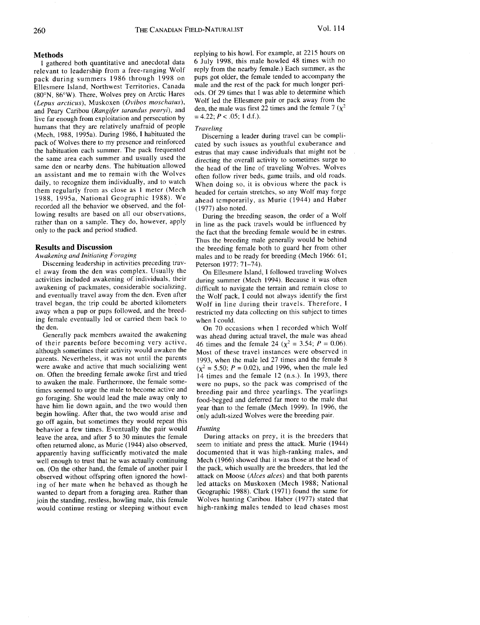relevant to leadership from a free-ranging Wolf reply from the nearby female.) Each summer, as the neck during summers 1986 through 1998 on pups got older, the female tended to accompany the pack during summers 1986 through 1998 on pups got older, the female tended to accompany the<br>Ellesmere Island, Northwest Territories, Canada male and the rest of the pack for much longer peri-Ellesmere Island, Northwest Territories, Canada male and the rest of the pack for much longer peri-<br>(80°N, 86°W), There Wolves prev on Arctic Hares and Ods. Of 29 times that I was able to determine which (80°N, 86°W). There, Wolves prey on Arctic Hares ods. Of 29 times that I was able to determine which  $(I_{\text{enus} arcticus})$  Muskoxen  $(I_{\text{Vibos} maxhatus})$ . Wolf led the Ellesmere pair or pack away from the (*Lepus arcticus*), Muskoxen (*Ovibos moschatus*), Wolf led the Ellesmere pair or pack away from the and Peary Caribou (*Rangifer tarandus pearyi*), and den, the male was first  $\frac{1}{2}$  is a fermion  $\frac{1}{2}$  and the fermion  $\frac{1}{2}$  and the fermion  $\frac{1}{2}$  and  $\frac{1}{2}$  and the female  $\frac{1}{2}$  and  $\frac{1}{2}$  and  $\frac$ live far enough from exploitation and persecution by humans that they are relatively unafraid of people *Traveling*<br>(Mech, 1988, 1995a). During 1986, I habituated the *Discerning a leader during travel can be compli*pack of Wolves there to my presence and reinforced pack of Wolves there to my presence and reinforced cated by such issues as youthful exuberance and the habituation each summer. The pack frequented extrus that may cause individuals that might not be the habituation each summer. The pack frequented estrus that may cause individuals that might not be the same area each summer and usually used the  $\frac{1}{\text{direction}}$  the overall activity to sometimes surge to the same area each summer and usually used the directing the overall activity to sometimes surge to same den or nearby dens. The habituation allowed the head of the line of traveling Wolves Wolves same den or nearby dens. The habituation allowed the head of the line of traveling Wolves. Wolves<br>an assistant and me to remain with the Wolves often follow river beds game trails and old roads an assistant and me to remain with the Wolves often follow river beds, game trails, and old roads.<br>daily, to recognize them individually, and to watch when doing so it is obvious where the pack is daily, to recognize them individually, and to watch when doing so, it is obvious where the pack is them regularly from as close as 1 meter (Mech boaded for certain stratches so any Wolf may forge them regularly from as close as 1 meter (Mech headed for certain stretches, so any Wolf may forge 1988, 1995a, National Geographic 1988). We ahead temporarily, as Murie (1944) and Haber recorded all the behavior we observed, and the fol- $(1977)$  also noted. lowing results are based on all our observations, lowing results are based on all our observations,<br>
During the breeding season, the order of a Wolf<br>
rather than on a sample. They do, however, apply<br>
in line as the pack travels would be influenced by rather than on a sample. They do, however, apply  $\frac{1}{2}$  in line as the pack travels would be influenced by  $\frac{1}{2}$  the fact that the breeding female would be in estrus

Discerning leadership in activities preceding trav-<br>el away from the den was complex. Usually the el away from the den was complex. Usually the On Ellesmere Island, I followed traveling Wolves activities included awakening of individuals, their during summer (Mech 1994). Because it was often awakening of packmates, considerable socializing, and eventually travel away from the den. Even after and eventually travel away from the den. Even after the Wolf pack, I could not always identify the first travel began, the trip could be aborted kilometers  $W$ olf in line during their travels. Therefore, I away when a pup or pups followed, and the breed-<br>inextricted my discussed means for the means of the means of the times of the times of the times subject to the times of the times of the times of the times of the times of ing female eventually led or carried them back to the den.

Generally pack members awaited the awakening was ahead during actual travel, the male was ahead of their parents before becoming very active,  $\mu$  46 times and the female 24 ( $v^2 = 3.54$ ;  $P = 0.06$ ). of their parents before becoming very active,  $46$  times and the female 24 ( $\chi^2 = 3.54$ ;  $P = 0.06$ ).<br>although sometimes their activity would awaken the Most of these travel instances were observed in although sometimes their activity would awaken the Most of these travel instances were observed in parents. Nevertheless, it was not until the parents 1993 when the male led 27 times and the female 8 parents. Nevertheless, it was not until the parents 1993, when the male led 27 times and the female 8 were awake and active that much socializing went  $(v^2 = 5.50 \cdot P = 0.02)$  and 1996 when the male led were awake and active that much socializing went  $(\chi^2 = 5.50; P = 0.02)$ , and 1996, when the male led<br>on. Often the breeding female awoke first and tried 14 times and the female 12 (n s.) In 1993, there on. Often the breeding female awoke first and tried  $\frac{14}{4}$  times and the female 12 (n.s.). In 1993, there to awaken the male. Furthermore, the female someto awaken the male. Furthermore, the female some-<br>times seemed to urge the male to become active and three ding pair and three vearlings. The vearlings times seemed to urge the male to become active and breeding pair and three yearlings. The yearlings go foraging. She would lead the male away only to food-hessed and deferred far more to the male that go foraging. She would lead the male away only to food-begged and deferred far more to the male that have him lie down again, and the two would then vertiled the female (Mech 1999). In 1996, the have him lie down again, and the two would then year than to the female (Mech 1999). In 1996, the begin howling. After that, the two would arise and only adult-sized Wolves were the breeding pair. begin howing. Their that, the two would repeat this only adult-sized wolves were the breeding pair.<br>go off again, but sometimes they would repeat this behavior a few times. Eventually the pair would *Hunting*<br>leave the area, and after 5 to 30 minutes the female During attacks on prey, it is the breeders that leave the area, and after 5 to 30 minutes the female During attacks on prey, it is the breeders that often returned alone, as Murie (1944) also observed, seem to initiate and press the attack. Murie (1944) often returned alone, as Murie (1944) also observed, seem to initiate and press the attack. Murie (1944) apparently having sufficiently motivated the male documented that it was high-ranking males, and apparently having sufficiently motivated the male documented that it was high-ranking males, and well enough to trust that he was actually continuing Mech (1966) showed that it was those at the head of well enough to trust that he was actually continuing Mech (1966) showed that it was those at the head of on  $(On the other hand, the female of another pair I)$  the pack, which usually are the breeders, that led the on. (On the other hand, the female of another pair I the pack, which usually are the breeders, that led the observed without offspring often ignored the howl-<br>attack on Moose (*Alces alces*) and that both parents observed without offspring often ignored the howl- attack on Moose (*Alces alces*) and that both parents ing of her mate when he behaved as though he led attacks on Muskoxen (Mech 1988; National wanted to depart from a foraging area. Rather than Geographic 1988). Clark (1971) found the same for wanted to depart from a foraging area. Rather than Geographic 1988). Clark (1971) found the same for<br>ioin the standing restless, howling male, this female Wolves hunting Caribou. Haber (1977) stated that join the standing, restless, howling male, this female Wolves hunting Caribou. Haber (1977) stated that would continue resting or sleeping without even high-ranking males tended to lead chases most would continue resting or sleeping without even

Methods<br>I gathered both quantitative and anecdotal data 6 July 1998, this male howled 48 times with no I gathered both quantitative and anecdotal data 6 July 1998, this male howled 48 times with no<br>levant to leadership from a free-ranging Wolf reply from the nearby female.) Each summer, as the

the fact that the breeding female would be in estrus. Thus the breeding male generally would be behind **Results and Discussion** the breeding female both to guard her from other<br>Awakening and Initiating Foraging and the males and to be ready for breeding (Mech 1966: 61; males and to be ready for breeding (Mech 1966: 61; Peterson 1977: 71–74).

> during summer (Mech 1994). Because it was often difficult to navigate the terrain and remain close to Wolf in line during their travels. Therefore, I<br>restricted my data collecting on this subject to times

the den.<br>
Senerally pack members awaited the awakening a shead during actual travel the male was ahead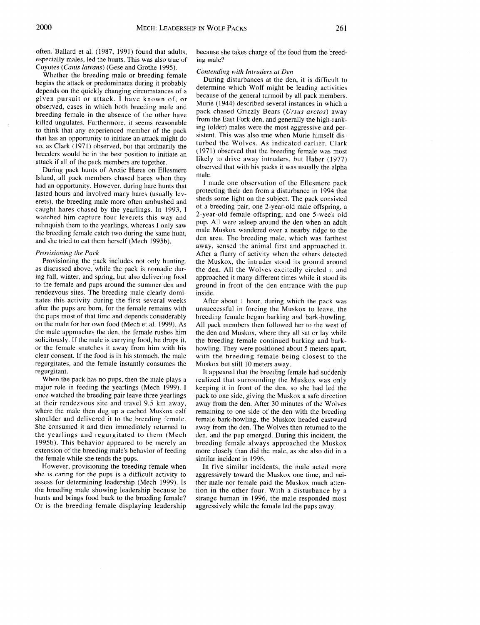especially males, led the hunts. This was also true of Coyotes (*Canis latrans*) (Gese and Grothe 1995).

Exposes (cans tarrais) (cese and croate 1999).<br>
Whether the breeding male or breeding female<br>
During disturbances at the den, it is difficult to<br>
begins the attack or predominates during it probably<br>
determine which Wolf m depends on the quickly changing circumstances of a  $\frac{1}{2}$  because of the general turnoil by all pack members. given pursuit or attack. I have known of, or because of the general turnoil by all pack members.<br>Absenced access in which had been by all participate of the general instances in which a observed, cases in which both breeding male and<br>heading formula in the absence of the attan have pack chased Grizzly Bears (*Ursus arctos*) away breeding female in the absence of the other have pack chased Grizzly Bears (*Ursus arctos*) away killed ungulates. Furthermore, it seems reasonable<br>the thigh-that any consciousned wealth and fight of the high-ling (older) males were the most aggressive and perto think that any experienced member of the pack ing (older) males were the most aggressive and perthat has an opportunity to initiate an attack might do so, as Clark (1971) observed, but that ordinarily the turbed the Wolves. As indicated earlier, Clark so, as Clark (1971) observed that the breeding female was most breeders would be in the best position to initiate an likely to drive away intruders, but Haber (1977) attack if all of the pack members are together.

During pack hunts of Arctic Hares on Ellesmere <sup>obser</sup> Island, all pack members chased hares when they male.<br>had an opportunity. However, during hare hunts that I made one observation of the Ellesmere pack had an opportunity. However, during hare hunts that I meeting their den from a disturbance in 1994 that lasted hours and involved many hares (usually leverets), the breeding male more often ambushed and caught hares chased by the yearlings. In 1993, I watched him capture four leverets this way and <sup>2-year-old female offspring, and one 5-week old<br>relinquish them to the vesslings, whereas Lorly some pup. All were asleep around the den when an adult</sup> relinquish them to the yearlings, whereas I only saw pup. All were asleep around the den when an adult<br>the headling formals onto two during the come hunt male Muskox wandered over a nearby ridge to the the breeding female catch two during the same hunt,<br>and she tried to got them herself (Mosh 1005b) den area. The breeding male, which was farthest and she tried to eat them herself (Mech 1995b).

Provisioning the pack includes not only hunting, the Muskox, the intruder stood its ground around as discussed above, while the pack is nomadic dur-<br>the den. All the Wolves excitedly circled it and as discussed above, while the pack is nomadic dur-<br>in the den. All the Wolves excitedly circled it and<br>ing fall, winter, and spring, but also delivering food<br>approached it many different times while it stood its ing fall, winter, and spring, but also delivering food approached it many different times while it stood its to the female and pups around the summer den and ground in front of the den entrance with the pup rendezvous sites. The breeding male clearly dominates this activity during the first several weeks After about 1 hour, during which the pack was after the pups are born, for the female remains with unsuccessful in forcing the Muskox to leave, the after the pups are born, for the female remains with unsuccessful in forcing the Muskox to leave, the the pups most of that time and depends considerably breeding female began barking and bark-howling. the pups most of that time and depends considerably breeding female began barking and bark-howling.<br>
on the male for her own food (Mech et al. 1999). As All pack members then followed her to the west of on the male for her own food (Mech et al. 1999). As All pack members then followed her to the west of the male approaches the den, the female rushes him the den and Muskox, where they all sat or lay while the male approaches the den, the female rushes him the den and Muskox, where they all sat or lay while solicitously. If the male is carrying food, he drops it, the breeding female continued barking and barksolicitously. If the male is carrying food, he drops it, the breeding female continued barking and bark-<br>or the female snatches it away from him with his howling. They were positioned about 5 meters apart or the female snatches it away from him with his howling. They were positioned about 5 meters apart, clear consent. If the food is in his stomach, the male with the breeding female being closest to the regurgitates, and the female instantly consumes the regurgitant.

once watched the breeding pair leave three yearlings at their rendezvous site and travel 9.5 km away. where the male then dug up a cached Muskox calf shoulder and delivered it to the breeding female. She consumed it and then immediately returned to the yearlings and regurgitated to them (Mech 1995b). This behavior appeared to be merely an breeding female always approached the Muskox extension of the breeding male's behavior of feeding more closely than did the male, as she also did in a extension of the breeding male's behavior of feeding more closely than did the male, as she also did in a the female while she tends the pups.<br>However, provisioning the breeding female when

she is caring for the pups is a difficult activity to aggressively toward the Muskox one time, and nei-<br>assess for determining leadership (Mech 1999). Is ther male nor female paid the Muskox much attenassess for determining leadership (Mech 1999). Is the breeding male showing leadership because he the breeding male showing leadership because he tion in the other four. With a disturbance by a hunts and brings food back to the breeding female? strange human in 1996, the male responded most hunts and brings food back to the breeding female? strange human in 1996, the male responded most Or is the breeding female displaying leadership aggressively while the female led the pups away.

often. Ballard et al. (1987, 1991) found that adults, because she takes charge of the food from the breed-<br>especially males, led the hunts. This was also true of ing male?

observed that with his packs it was usually the alpha

sheds some light on the subject. The pack consisted of a breeding pair, one 2-year-old male offspring, a away, sensed the animal first and approached it. *Provisioning the Pack* After a flurry of activity when the others detected<br>Provisioning the pack includes not only hunting, the Muskox, the intruder stood its ground around ground in front of the den entrance with the pup inside.

with the breeding female being closest to the Muskox but still 10 meters away.

gurgitant.<br>When the pack has no pups, then the male plays a realized that surrounding the Muskox was only When the pack has no pups, then the male plays a realized that surrounding the Muskox was only major role in feeding the vearlings (Mech 1999). I keeping it in front of the den, so she had led the keeping it in front of the den, so she had led the pack to one side, giving the Muskox a safe direction away from the den. After 30 minutes of the Wolves remaining to one side of the den with the breeding female bark-howling, the Muskox headed eastward away from the den. The Wolves then returned to the den, and the pup emerged. During this incident, the breeding female always approached the Muskox

> In five similar incidents, the male acted more aggressively toward the Muskox one time, and neiaggressively while the female led the pups away.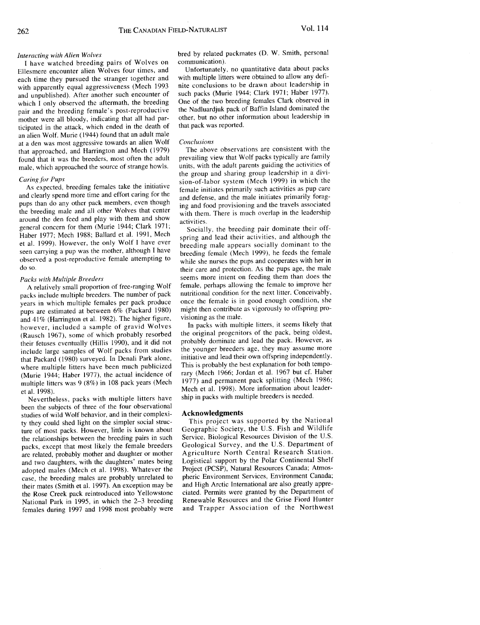I have watched breeding pairs of wolves on communication Ellesmere encounter alien Wolves four times, and Unfortunately, no quantitative data about packs each time they pursued the stranger together and with multiple litters were obtained to allow any defiwith apparently equal aggressiveness (Mech 1993 nite conclusions to be drawn about leadership in and unpublished). After another such encounter of such packs (Murie 1944; Clark 1971; Haber 1977). which I only observed the aftermath, the breeding One of the two breeding females Clark observed in pair and the breeding female's post-reproductive the Nadluardjuk pack of Baffin Island dominated the pair and the breeding female is post-reproduced the particle the nadiation of the nadiation about leadership in mother were all bloody, indicating that all had par- $\frac{1}{2}$  but no other, but no other information about leadership in  $\frac{1}{2}$ ticipated in the attack, which ended in the death of that pack was reported. an alien Wolf. Murie (1944) found that an adult male at a den was most aggressive towards an alien Wolf *Conclusions* that approached, and Harrington and Mech (1979) The above observations are consistent with the found that it was the breeders, most often the adult prevailing view that Wolf packs typically are family

As expected, breeding females take the initiative female initiates primarily such activities as pup care<br>and clearly spend more time and effort caring for the and defense, and the male initiates primarily foragpups than do any other pack members, even though ing and food provisioning and the travels associated the breeding male and all other Wolves that center with them. There is much overlap in the leadership around the den feed and play with them and show activities. general concern for them (Murie 1944; Clark 1971; Socially, the breeding pair dominate their off-Fracture 1977; Mech 1988; Ballard et al. 1991, Mech spring and local their activities, and although the et al. 1999). However, the only Wolf I have ever  $\frac{1}{2}$  regading male appears socially dominant to the et al. 1999). However, the only Wolf I have ever<br>seen carrying a pup was the mother, although I have breeding female (Mech 1999), he feeds the female observed a post-reproductive female attempting to

packs include multiple breeders. The number of pack nutritional condition for the next litter. Conceivably, years in which multiple females per pack produce once the female is in good enough condition, she pups are estimated at between  $6\%$  (Packard 1980) might then contribute and  $41\%$  (Harrington et al. 1982). The higher figure visioning as the male. and 41% (Harrington et al. 1982). The higher figure, visioning as the male.<br>however, included a sample of gravid Wolves In packs with multiple litters, it seems likely that (Rausch 1967), some of which probably resorbed the original progenitors of the pack, being oldest, (Rausch 1967), some of which probably dominate and lead the pack. However, as their fettuses eventually (Hillis 1990), and it did not include large samples of Wolf packs from studies the younger breeders age, they may assume more that Packard (1980) surveyed. In Denali Park alone, initiative and lead their own offspring independently. (Murie 1944; Haber 1977), the actual incidence of rary (Mech 1966; Jordan et al. 1967 but cf. Haber<br>multiple litters was 9 (8%) in 108 pack years (Mech 1977) and permanent pack splitting (Mech 1986; multiple littles was 9 (8%) in 108 pack years (Mech et al. 1998). More information about leader-<br>Mech et al. 1998).

Nevertheless, packs with multiple litters have been the subjects of three of the four observational studies of wild Wolf behavior, and in their complexi-<br>ty they could shed light on the simpler social struc-<br>This project was supported by the National ty they co*u*ld shed light on the simpler social s*t*ru*c*- This project was s*u*pported *b*y the National ture of most packs. However, little is known about Geographic Society, the U.S. Fish and Wildlife<br>the relationships between the breeding pairs in such Service, Biological Resources Division of the U.S. the relationships between the breeding pairs in such Service, Biological Resources Division of the U.S.<br>nacks, except that most likely the female breeders Geological Survey, and the U.S. Department of packs, except that most likely the female breeders Geological Survey, and the U.S. Department of are related probably mother and daughter or mother Agriculture North Central Research Station. are related, probably mother and daughter or mother Agriculture North Central Research Station.<br>and two daughters with the daughters' mates being Logistical support by the Polar Continental Shelf and two daughters, with the daughters' mates being Logistical support by the Polar Continental Shelf<br>adopted males (Mech et al. 1998). Whatever the Project (PCSP), Natural Resources Canada; Atmosadopted males (Mech et al. 1998). Whatever the Project (PCSP), Natural Resources Canada; Atmos-<br>case, the breeding males are probably unrelated to pheric Environment Services, Environment Canada; case, the breeding males are probably unrelated to pheric Environment Services, Environment Canada;<br>their mates (Smith et al. 1997). An exception may be and High Arctic International are also greatly appretheir mates (Smith et al. 1997). An exception may be and High Arctic International are also greatly appre-<br>the Rose Creek pack reintroduced into Yellowstone ciated. Permits were granted by the Department of National Park in 1995, in which the 2–3 breeding Renewable Resources and the Grise Fiord Hunter<br>females during 1997 and 1998 most probably were and Trapper Association of the Northwest females during 1997 and 1998 most probably were

*Interacting with Alien Wolves* bred by relation by relation  $\mathcal{L}$ . We smith, personal packmates (D. W. Smith, personal packmates (D. W. Smith, personal packmates (D. W. Smith, personal packmates of  $\mathcal{L}$ ).

such packs (Murie 1944; Clark 1971; Haber 1977).

units, with the adult parents guiding the activities of male, which approached the source of strange howls. units, with the adult parents guiding the activities of the group and sharing group leadership in a divi-*Caring for Pups*<br>As expected, breeding females take the initiative<br> $\frac{\sin \theta}{\sin \theta}$  intitiates primarily such activities as pup care

observed a post-reproductive female attempting to while she nurses the pups and cooperates with her in do so. Packs with Multiple Breeders seems more intent on feeding them than does the female, perhaps allowing the female to improve her A relatively small proportion of free-ranging Wolf female, perhaps allowing the female to improve her case include multiple breeders. The number of pack untritional condition for the next litter. Conceivably, might then contribute as vigorously to offspring pro-

> initiative and lead their own offspring independently. rary (Mech 1966; Jordan et al. 1967 but cf. Haber ship in packs with multiple breeders is needed.

Renewable Resources and the Grise Fiord Hunter